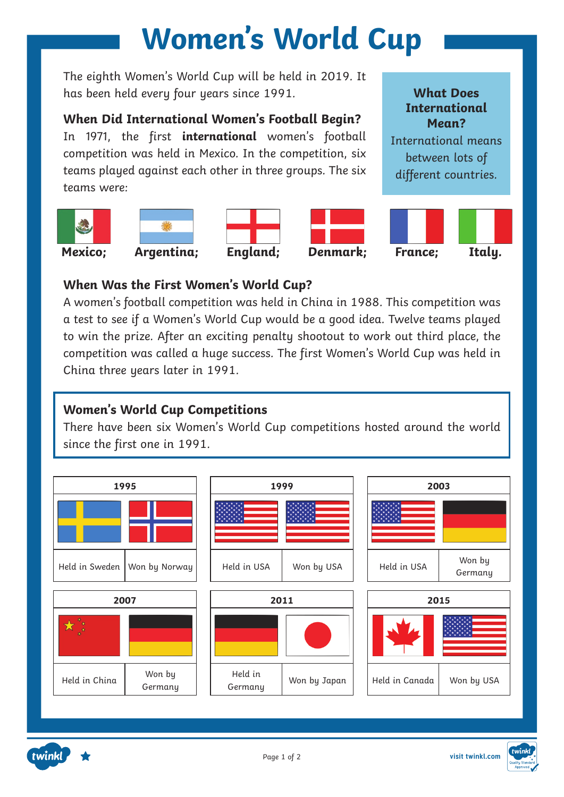The eighth Women's World Cup will be held in 2019. It has been held every four years since 1991.

**When Did International Women's Football Begin?**

In 1971, the first **international** women's football competition was held in Mexico. In the competition, six teams played against each other in three groups. The six teams were:











**What Does International Mean?** International means between lots of different countries.

#### **When Was the First Women's World Cup?**

A women's football competition was held in China in 1988. This competition was a test to see if a Women's World Cup would be a good idea. Twelve teams played to win the prize. After an exciting penalty shootout to work out third place, the competition was called a huge success. The first Women's World Cup was held in China three years later in 1991.

#### **Women's World Cup Competitions**

There have been six Women's World Cup competitions hosted around the world since the first one in 1991.



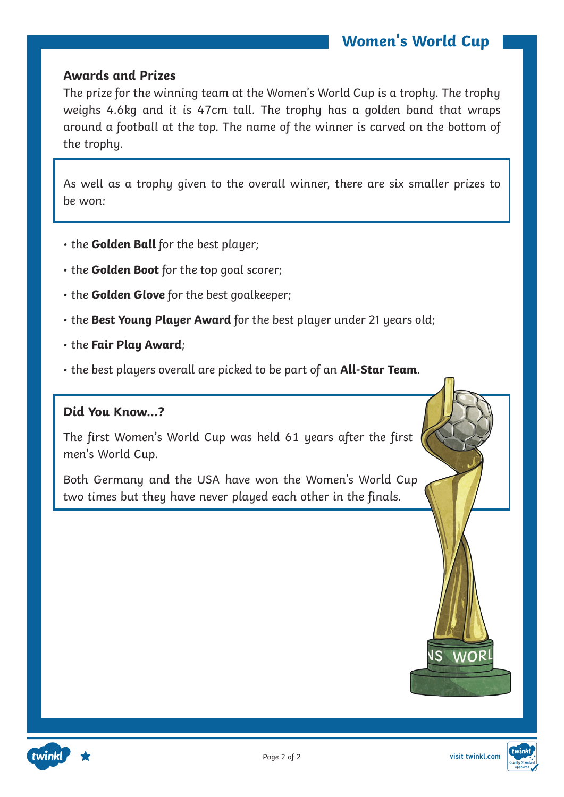#### **Awards and Prizes**

The prize for the winning team at the Women's World Cup is a trophy. The trophy weighs 4.6kg and it is 47cm tall. The trophy has a golden band that wraps around a football at the top. The name of the winner is carved on the bottom of the trophy.

As well as a trophy given to the overall winner, there are six smaller prizes to be won:

- the **Golden Ball** for the best player;
- the **Golden Boot** for the top goal scorer;
- the **Golden Glove** for the best goalkeeper;
- the **Best Young Player Award** for the best player under 21 years old;
- the **Fair Play Award**;
- the best players overall are picked to be part of an **All-Star Team**.

#### **Did You Know…?**

twinkl

The first Women's World Cup was held 61 years after the first men's World Cup.

Both Germany and the USA have won the Women's World Cup two times but they have never played each other in the finals.





**IS WOR**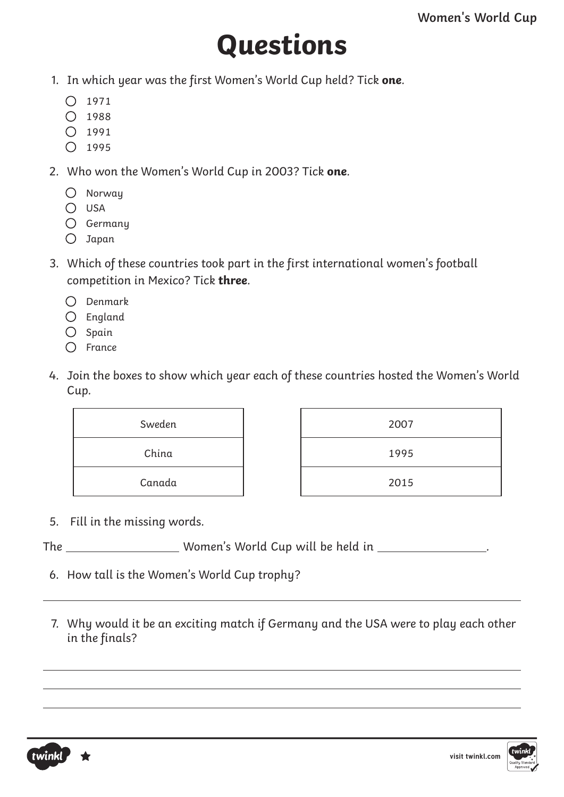## **Questions**

- 1. In which year was the first Women's World Cup held? Tick **one**.
	- $\bigcap$  1971
	- $\bigcirc$  1988
	- $O$  1991
	- $O$  1995
- 2. Who won the Women's World Cup in 2003? Tick **one**.
	- Norway
	- $O$  USA
	- Germany
	- Japan
- 3. Which of these countries took part in the first international women's football competition in Mexico? Tick **three**.
	- $\bigcap$  Denmark
	- England
	- $O$  Spain
	- $\bigcap$  France
- 4. Join the boxes to show which year each of these countries hosted the Women's World Cup.

| Sweden | 2007 |
|--------|------|
| China  | 1995 |
| Canada | 2015 |

- 5. Fill in the missing words.
- The \_\_\_\_\_\_\_\_\_\_\_\_\_\_\_\_\_\_\_\_\_\_\_ Women's World Cup will be held in \_\_\_\_\_\_\_\_\_\_\_\_\_\_\_\_\_\_
	- 6. How tall is the Women's World Cup trophy?
	- 7. Why would it be an exciting match if Germany and the USA were to play each other in the finals?

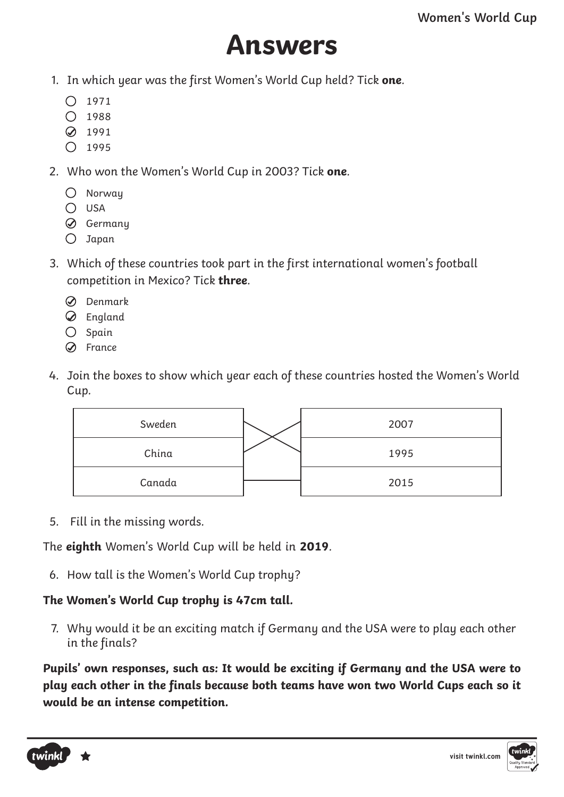### **Answers**

- 1. In which year was the first Women's World Cup held? Tick **one**.
	- $\bigcap$  1971
	- $\bigcap$  1988
	- **2** 1991
	- $\bigcirc$  1995
- 2. Who won the Women's World Cup in 2003? Tick **one**.
	- Norway
	- $O$  USA
	- Germany
	- $O$  Japan
- 3. Which of these countries took part in the first international women's football competition in Mexico? Tick **three**.
	- Denmark
	- England
	- $O$  Spain
	- $\oslash$  France
- 4. Join the boxes to show which year each of these countries hosted the Women's World Cup.



5. Fill in the missing words.

The **eighth** Women's World Cup will be held in **2019**.

6. How tall is the Women's World Cup trophy?

### **The Women's World Cup trophy is 47cm tall.**

7. Why would it be an exciting match if Germany and the USA were to play each other in the finals?

**Pupils' own responses, such as: It would be exciting if Germany and the USA were to play each other in the finals because both teams have won two World Cups each so it would be an intense competition.**



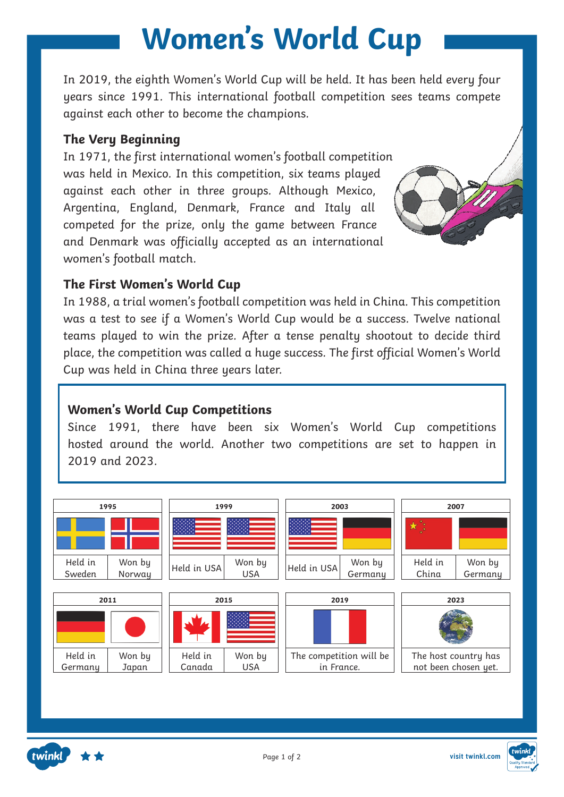In 2019, the eighth Women's World Cup will be held. It has been held every four years since 1991. This international football competition sees teams compete against each other to become the champions.

#### **The Very Beginning**

In 1971, the first international women's football competition was held in Mexico. In this competition, six teams played against each other in three groups. Although Mexico, Argentina, England, Denmark, France and Italy all competed for the prize, only the game between France and Denmark was officially accepted as an international women's football match.



#### **The First Women's World Cup**

In 1988, a trial women's football competition was held in China. This competition was a test to see if a Women's World Cup would be a success. Twelve national teams played to win the prize. After a tense penalty shootout to decide third place, the competition was called a huge success. The first official Women's World Cup was held in China three years later.

#### **Women's World Cup Competitions**

Since 1991, there have been six Women's World Cup competitions hosted around the world. Another two competitions are set to happen in 2019 and 2023.



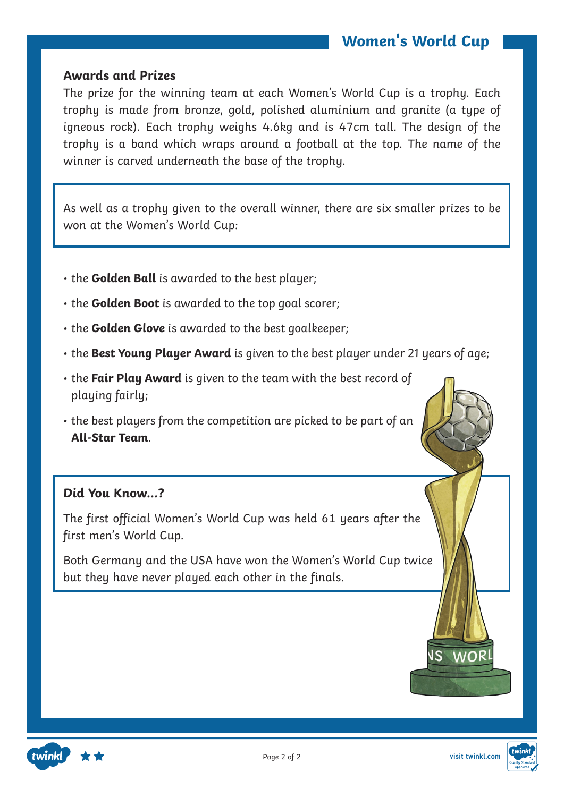#### **Awards and Prizes**

The prize for the winning team at each Women's World Cup is a trophy. Each trophy is made from bronze, gold, polished aluminium and granite (a type of igneous rock). Each trophy weighs 4.6kg and is 47cm tall. The design of the trophy is a band which wraps around a football at the top. The name of the winner is carved underneath the base of the trophy.

As well as a trophy given to the overall winner, there are six smaller prizes to be won at the Women's World Cup:

- the **Golden Ball** is awarded to the best player;
- the **Golden Boot** is awarded to the top goal scorer;
- the **Golden Glove** is awarded to the best goalkeeper;
- the **Best Young Player Award** is given to the best player under 21 years of age;
- the **Fair Play Award** is given to the team with the best record of playing fairly;
- the best players from the competition are picked to be part of an **All-Star Team**.

#### **Did You Know…?**

The first official Women's World Cup was held 61 years after the first men's World Cup.

Both Germany and the USA have won the Women's World Cup twice but they have never played each other in the finals.





**visit twinkl.com**

**VS WOR**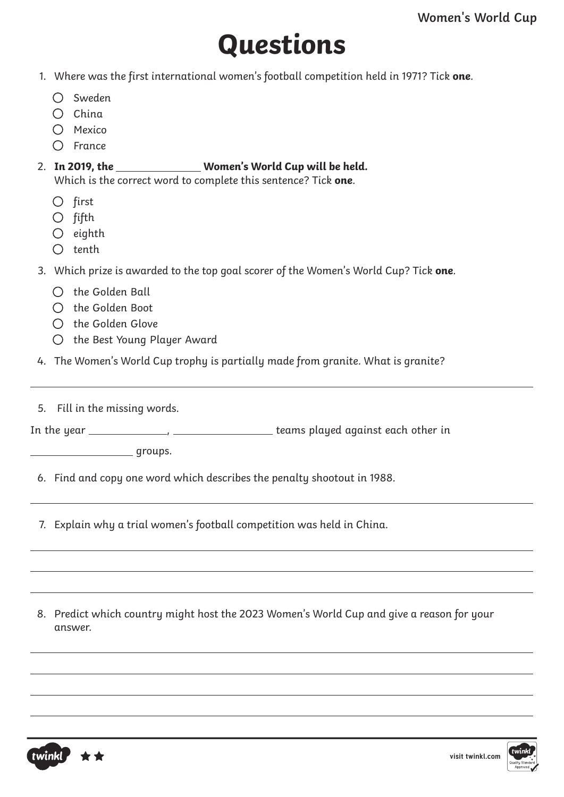## **Questions**

- 1. Where was the first international women's football competition held in 1971? Tick **one**.
	- O Sweden
	- $O$  China
	- $O$  Mexico
	- $\bigcap$  France

### 2. In 2019, the \_\_\_\_\_\_\_\_\_\_\_\_\_\_\_\_ Women's World Cup will be held.

Which is the correct word to complete this sentence? Tick **one**.

- $O$  first
- $O$  fifth
- $O$  eighth
- $\bigcap$  tenth
- 3. Which prize is awarded to the top goal scorer of the Women's World Cup? Tick **one**.
	- $\bigcirc$  the Golden Ball
	- $\bigcap$  the Golden Boot
	- $\bigcap$  the Golden Glove
	- O the Best Young Player Award
- 4. The Women's World Cup trophy is partially made from granite. What is granite?
- 5. Fill in the missing words.

In the year , teams played against each other in

groups.

6. Find and copy one word which describes the penalty shootout in 1988.

7. Explain why a trial women's football competition was held in China.

8. Predict which country might host the 2023 Women's World Cup and give a reason for your answer.



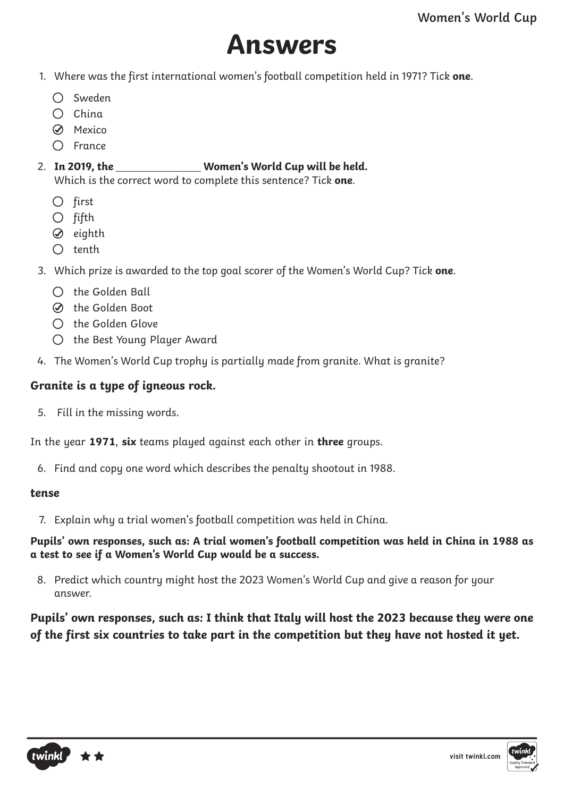### **Answers**

- 1. Where was the first international women's football competition held in 1971? Tick **one**.
	- Sweden
	- $\bigcap$  China
	- **S** Mexico
	- $\bigcap$  France

#### 2. **In 2019, the Women's World Cup will be held.**

Which is the correct word to complete this sentence? Tick **one**.

- $O$  first
- $O$  fifth
- $\oslash$  eighth
- $\bigcap$  tenth
- 3. Which prize is awarded to the top goal scorer of the Women's World Cup? Tick **one**.
	- $\bigcirc$  the Golden Ball
	- the Golden Boot
	- $\bigcap$  the Golden Glove
	- O the Best Young Player Award
- 4. The Women's World Cup trophy is partially made from granite. What is granite?

#### **Granite is a type of igneous rock.**

5. Fill in the missing words.

In the year **1971**, **six** teams played against each other in **three** groups.

6. Find and copy one word which describes the penalty shootout in 1988.

#### **tense**

7. Explain why a trial women's football competition was held in China.

**Pupils' own responses, such as: A trial women's football competition was held in China in 1988 as a test to see if a Women's World Cup would be a success.**

8. Predict which country might host the 2023 Women's World Cup and give a reason for your answer.

**Pupils' own responses, such as: I think that Italy will host the 2023 because they were one of the first six countries to take part in the competition but they have not hosted it yet.**

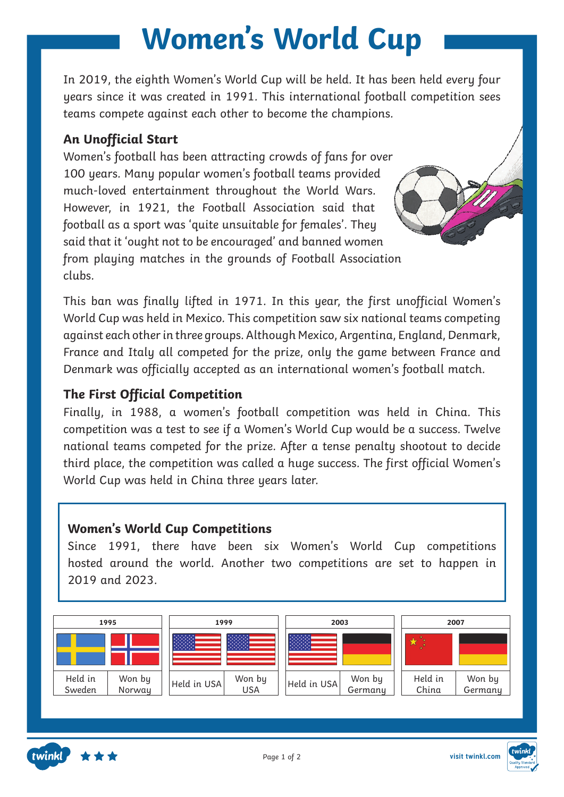In 2019, the eighth Women's World Cup will be held. It has been held every four years since it was created in 1991. This international football competition sees teams compete against each other to become the champions.

#### **An Unofficial Start**

Women's football has been attracting crowds of fans for over 100 years. Many popular women's football teams provided much-loved entertainment throughout the World Wars. However, in 1921, the Football Association said that football as a sport was 'quite unsuitable for females'. They said that it 'ought not to be encouraged' and banned women from playing matches in the grounds of Football Association clubs.

This ban was finally lifted in 1971. In this year, the first unofficial Women's World Cup was held in Mexico. This competition saw six national teams competing against each other in three groups. Although Mexico, Argentina, England, Denmark, France and Italy all competed for the prize, only the game between France and Denmark was officially accepted as an international women's football match.

#### **The First Official Competition**

Finally, in 1988, a women's football competition was held in China. This competition was a test to see if a Women's World Cup would be a success. Twelve national teams competed for the prize. After a tense penalty shootout to decide third place, the competition was called a huge success. The first official Women's World Cup was held in China three years later.

#### **Women's World Cup Competitions**

Since 1991, there have been six Women's World Cup competitions hosted around the world. Another two competitions are set to happen in 2019 and 2023.





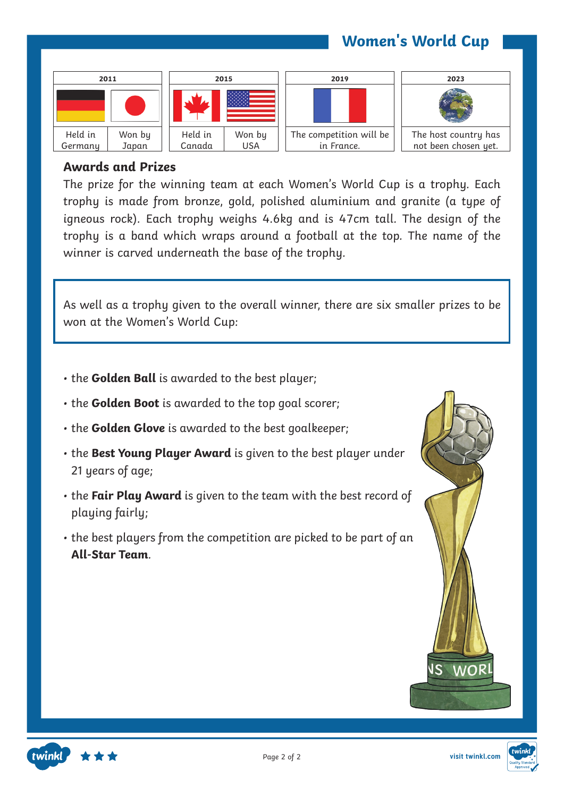

#### **Awards and Prizes**

The prize for the winning team at each Women's World Cup is a trophy. Each trophy is made from bronze, gold, polished aluminium and granite (a type of igneous rock). Each trophy weighs 4.6kg and is 47cm tall. The design of the trophy is a band which wraps around a football at the top. The name of the winner is carved underneath the base of the trophy.

As well as a trophy given to the overall winner, there are six smaller prizes to be won at the Women's World Cup:

- the **Golden Ball** is awarded to the best player;
- the **Golden Boot** is awarded to the top goal scorer;
- the **Golden Glove** is awarded to the best goalkeeper;
- the **Best Young Player Award** is given to the best player under 21 years of age;
- the **Fair Play Award** is given to the team with the best record of playing fairly;
- the best players from the competition are picked to be part of an **All-Star Team**.







Page 2 of 2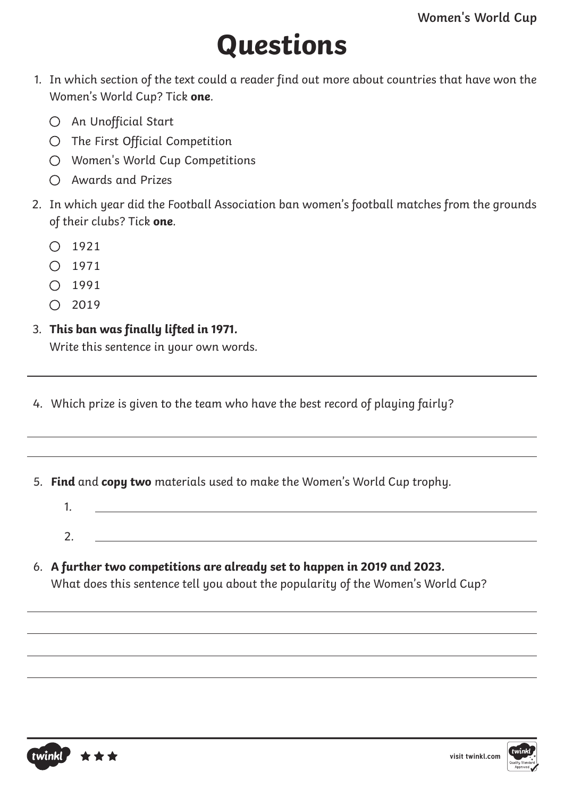# **Questions**

- 1. In which section of the text could a reader find out more about countries that have won the Women's World Cup? Tick **one**.
	- O An Unofficial Start
	- The First Official Competition
	- Women's World Cup Competitions
	- Awards and Prizes
- 2. In which year did the Football Association ban women's football matches from the grounds of their clubs? Tick **one**.
	- $O$  1921
	- $\bigcap$  1971
	- $O$  1991
	- $O$  2019

### 3. **This ban was finally lifted in 1971.**

Write this sentence in your own words.

- 4. Which prize is given to the team who have the best record of playing fairly?
- 5. **Find** and **copy two** materials used to make the Women's World Cup trophy.
	- 1. 2.
- 6. **A further two competitions are already set to happen in 2019 and 2023.**

What does this sentence tell you about the popularity of the Women's World Cup?



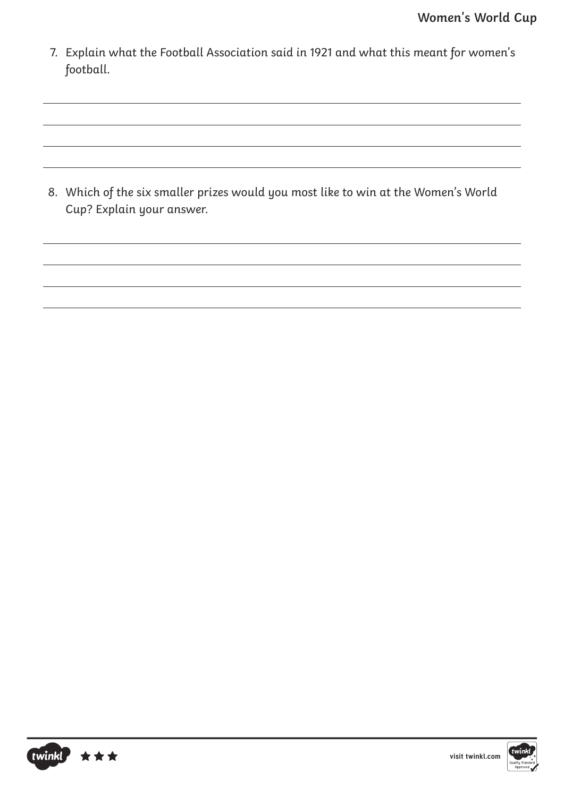7. Explain what the Football Association said in 1921 and what this meant for women's football.

8. Which of the six smaller prizes would you most like to win at the Women's World Cup? Explain your answer.



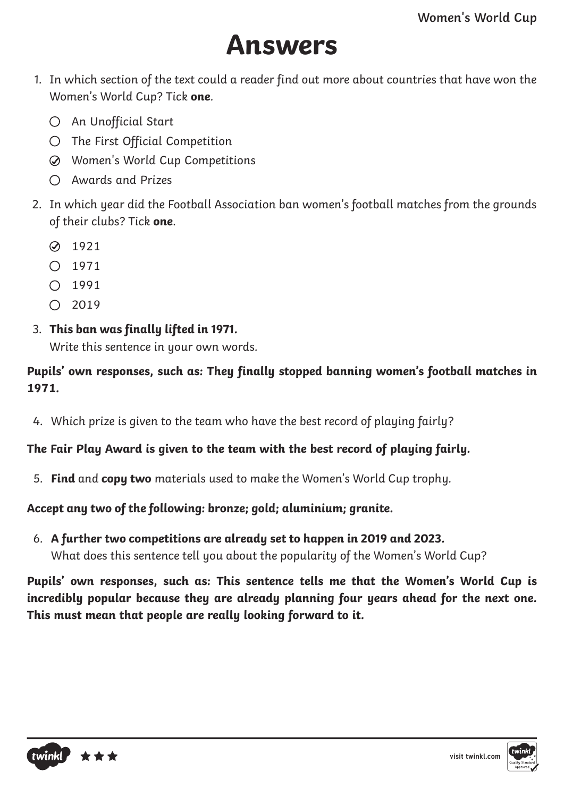## **Answers**

- 1. In which section of the text could a reader find out more about countries that have won the Women's World Cup? Tick **one**.
	- O An Unofficial Start
	- The First Official Competition
	- Women's World Cup Competitions
	- Awards and Prizes
- 2. In which year did the Football Association ban women's football matches from the grounds of their clubs? Tick **one**.
	- **2** 1921
	- $0.1971$
	- $O$  1991
	- $\bigcap$  2019
- 3. **This ban was finally lifted in 1971.**

Write this sentence in your own words.

#### **Pupils' own responses, such as: They finally stopped banning women's football matches in 1971.**

4. Which prize is given to the team who have the best record of playing fairly?

#### **The Fair Play Award is given to the team with the best record of playing fairly.**

5. **Find** and **copy two** materials used to make the Women's World Cup trophy.

#### **Accept any two of the following: bronze; gold; aluminium; granite.**

6. **A further two competitions are already set to happen in 2019 and 2023.** What does this sentence tell you about the popularity of the Women's World Cup?

**Pupils' own responses, such as: This sentence tells me that the Women's World Cup is incredibly popular because they are already planning four years ahead for the next one. This must mean that people are really looking forward to it.**